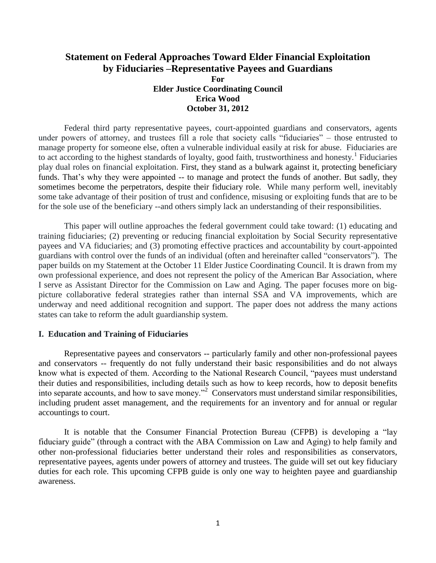# **Statement on Federal Approaches Toward Elder Financial Exploitation by Fiduciaries –Representative Payees and Guardians For Elder Justice Coordinating Council Erica Wood October 31, 2012**

Federal third party representative payees, court-appointed guardians and conservators, agents under powers of attorney, and trustees fill a role that society calls "fiduciaries" – those entrusted to manage property for someone else, often a vulnerable individual easily at risk for abuse. Fiduciaries are to act according to the highest standards of loyalty, good faith, trustworthiness and honesty.<sup>1</sup> Fiduciaries play dual roles on financial exploitation. First, they stand as a bulwark against it, protecting beneficiary funds. That's why they were appointed -- to manage and protect the funds of another. But sadly, they sometimes become the perpetrators, despite their fiduciary role. While many perform well, inevitably some take advantage of their position of trust and confidence, misusing or exploiting funds that are to be for the sole use of the beneficiary --and others simply lack an understanding of their responsibilities.

 This paper will outline approaches the federal government could take toward: (1) educating and training fiduciaries; (2) preventing or reducing financial exploitation by Social Security representative payees and VA fiduciaries; and (3) promoting effective practices and accountability by court-appointed guardians with control over the funds of an individual (often and hereinafter called "conservators"). The paper builds on my Statement at the October 11 Elder Justice Coordinating Council. It is drawn from my own professional experience, and does not represent the policy of the American Bar Association, where I serve as Assistant Director for the Commission on Law and Aging. The paper focuses more on bigpicture collaborative federal strategies rather than internal SSA and VA improvements, which are underway and need additional recognition and support. The paper does not address the many actions states can take to reform the adult guardianship system.

### **I. Education and Training of Fiduciaries**

Representative payees and conservators -- particularly family and other non-professional payees and conservators -- frequently do not fully understand their basic responsibilities and do not always know what is expected of them. According to the National Research Council, "payees must understand their duties and responsibilities, including details such as how to keep records, how to deposit benefits into separate accounts, and how to save money."<sup>2</sup> Conservators must understand similar responsibilities, including prudent asset management, and the requirements for an inventory and for annual or regular accountings to court.

It is notable that the Consumer Financial Protection Bureau (CFPB) is developing a "lay fiduciary guide" (through a contract with the ABA Commission on Law and Aging) to help family and other non-professional fiduciaries better understand their roles and responsibilities as conservators, representative payees, agents under powers of attorney and trustees. The guide will set out key fiduciary duties for each role. This upcoming CFPB guide is only one way to heighten payee and guardianship awareness.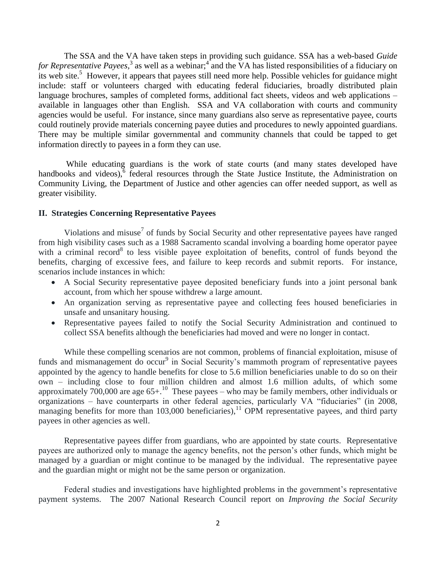The SSA and the VA have taken steps in providing such guidance. SSA has a web-based *Guide*  for Representative Payees,<sup>3</sup> as well as a webinar;<sup>4</sup> and the VA has listed responsibilities of a fiduciary on its web site.<sup>5</sup> However, it appears that payees still need more help. Possible vehicles for guidance might include: staff or volunteers charged with educating federal fiduciaries, broadly distributed plain language brochures, samples of completed forms, additional fact sheets, videos and web applications – available in languages other than English. SSA and VA collaboration with courts and community agencies would be useful. For instance, since many guardians also serve as representative payee, courts could routinely provide materials concerning payee duties and procedures to newly appointed guardians. There may be multiple similar governmental and community channels that could be tapped to get information directly to payees in a form they can use.

While educating guardians is the work of state courts (and many states developed have handbooks and videos), federal resources through the State Justice Institute, the Administration on Community Living, the Department of Justice and other agencies can offer needed support, as well as greater visibility.

#### **II. Strategies Concerning Representative Payees**

Violations and misuse<sup>7</sup> of funds by Social Security and other representative payees have ranged from high visibility cases such as a 1988 Sacramento scandal involving a boarding home operator payee with a criminal record<sup>8</sup> to less visible payee exploitation of benefits, control of funds beyond the benefits, charging of excessive fees, and failure to keep records and submit reports. For instance, scenarios include instances in which:

- A Social Security representative payee deposited beneficiary funds into a joint personal bank account, from which her spouse withdrew a large amount.
- An organization serving as representative payee and collecting fees housed beneficiaries in unsafe and unsanitary housing.
- Representative payees failed to notify the Social Security Administration and continued to collect SSA benefits although the beneficiaries had moved and were no longer in contact.

While these compelling scenarios are not common, problems of financial exploitation, misuse of funds and mismanagement do occur<sup>9</sup> in Social Security's mammoth program of representative payees appointed by the agency to handle benefits for close to 5.6 million beneficiaries unable to do so on their own – including close to four million children and almost 1.6 million adults, of which some approximately 700,000 are age  $65+.10$  These payees – who may be family members, other individuals or organizations – have counterparts in other federal agencies, particularly VA "fiduciaries" (in 2008, managing benefits for more than 103,000 beneficiaries),  $^{11}$  OPM representative payees, and third party payees in other agencies as well.

Representative payees differ from guardians, who are appointed by state courts. Representative payees are authorized only to manage the agency benefits, not the person's other funds, which might be managed by a guardian or might continue to be managed by the individual. The representative payee and the guardian might or might not be the same person or organization.

Federal studies and investigations have highlighted problems in the government's representative payment systems. The 2007 National Research Council report on *Improving the Social Security*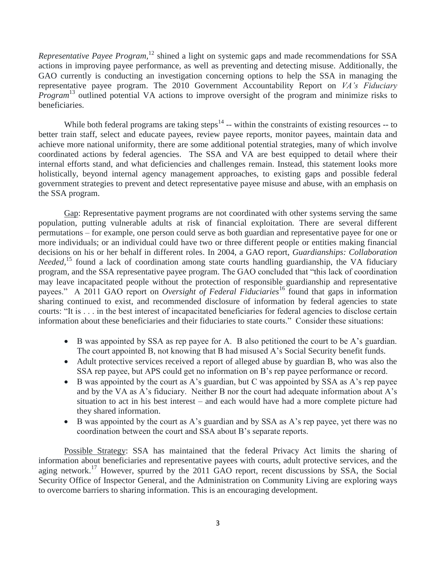*Representative Payee Program,*<sup>12</sup> shined a light on systemic gaps and made recommendations for SSA actions in improving payee performance, as well as preventing and detecting misuse. Additionally, the GAO currently is conducting an investigation concerning options to help the SSA in managing the representative payee program. The 2010 Government Accountability Report on *VA's Fiduciary Program*<sup>13</sup> outlined potential VA actions to improve oversight of the program and minimize risks to beneficiaries.

While both federal programs are taking steps<sup>14</sup>  $-$  within the constraints of existing resources  $-$  to better train staff, select and educate payees, review payee reports, monitor payees, maintain data and achieve more national uniformity, there are some additional potential strategies, many of which involve coordinated actions by federal agencies. The SSA and VA are best equipped to detail where their internal efforts stand, and what deficiencies and challenges remain. Instead, this statement looks more holistically, beyond internal agency management approaches, to existing gaps and possible federal government strategies to prevent and detect representative payee misuse and abuse, with an emphasis on the SSA program.

Gap: Representative payment programs are not coordinated with other systems serving the same population, putting vulnerable adults at risk of financial exploitation. There are several different permutations – for example, one person could serve as both guardian and representative payee for one or more individuals; or an individual could have two or three different people or entities making financial decisions on his or her behalf in different roles. In 2004, a GAO report, *Guardianships: Collaboration Needed*,<sup>15</sup> found a lack of coordination among state courts handling guardianship, the VA fiduciary program, and the SSA representative payee program. The GAO concluded that "this lack of coordination may leave incapacitated people without the protection of responsible guardianship and representative payees." A 2011 GAO report on *Oversight of Federal Fiduciaries*<sup>16</sup> found that gaps in information sharing continued to exist, and recommended disclosure of information by federal agencies to state courts: "It is . . . in the best interest of incapacitated beneficiaries for federal agencies to disclose certain information about these beneficiaries and their fiduciaries to state courts." Consider these situations:

- B was appointed by SSA as rep payee for A. B also petitioned the court to be A's guardian. The court appointed B, not knowing that B had misused A's Social Security benefit funds.
- Adult protective services received a report of alleged abuse by guardian B, who was also the SSA rep payee, but APS could get no information on B's rep payee performance or record.
- B was appointed by the court as A's guardian, but C was appointed by SSA as A's rep payee and by the VA as A's fiduciary. Neither B nor the court had adequate information about A's situation to act in his best interest – and each would have had a more complete picture had they shared information.
- $\bullet$  B was appointed by the court as A's guardian and by SSA as A's rep payee, yet there was no coordination between the court and SSA about B's separate reports.

Possible Strategy: SSA has maintained that the federal Privacy Act limits the sharing of information about beneficiaries and representative payees with courts, adult protective services, and the aging network.<sup>17</sup> However, spurred by the 2011 GAO report, recent discussions by SSA, the Social Security Office of Inspector General, and the Administration on Community Living are exploring ways to overcome barriers to sharing information. This is an encouraging development.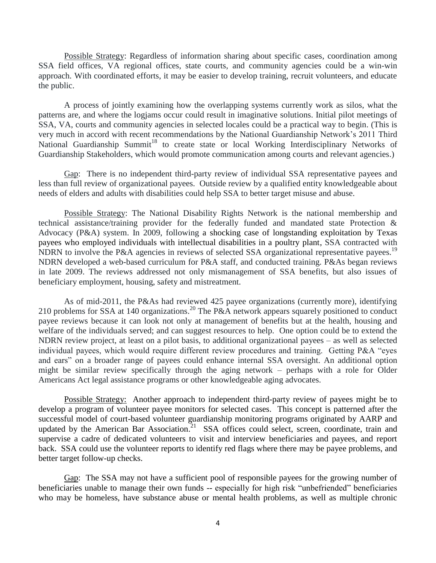Possible Strategy: Regardless of information sharing about specific cases, coordination among SSA field offices, VA regional offices, state courts, and community agencies could be a win-win approach. With coordinated efforts, it may be easier to develop training, recruit volunteers, and educate the public.

A process of jointly examining how the overlapping systems currently work as silos, what the patterns are, and where the logjams occur could result in imaginative solutions. Initial pilot meetings of SSA, VA, courts and community agencies in selected locales could be a practical way to begin. (This is very much in accord with recent recommendations by the National Guardianship Network's 2011 Third National Guardianship Summit<sup>18</sup> to create state or local Working Interdisciplinary Networks of Guardianship Stakeholders, which would promote communication among courts and relevant agencies.)

Gap: There is no independent third-party review of individual SSA representative payees and less than full review of organizational payees. Outside review by a qualified entity knowledgeable about needs of elders and adults with disabilities could help SSA to better target misuse and abuse.

Possible Strategy: The National Disability Rights Network is the national membership and technical assistance/training provider for the federally funded and mandated state Protection & Advocacy (P&A) system. In 2009, following a shocking case of longstanding exploitation by Texas payees who employed individuals with intellectual disabilities in a poultry plant, SSA contracted with NDRN to involve the P&A agencies in reviews of selected SSA organizational representative payees.<sup>19</sup> NDRN developed a web-based curriculum for P&A staff, and conducted training. P&As began reviews in late 2009. The reviews addressed not only mismanagement of SSA benefits, but also issues of beneficiary employment, housing, safety and mistreatment.

As of mid-2011, the P&As had reviewed 425 payee organizations (currently more), identifying 210 problems for SSA at 140 organizations.<sup>20</sup> The P&A network appears squarely positioned to conduct payee reviews because it can look not only at management of benefits but at the health, housing and welfare of the individuals served; and can suggest resources to help. One option could be to extend the NDRN review project, at least on a pilot basis, to additional organizational payees – as well as selected individual payees, which would require different review procedures and training. Getting P&A "eyes and ears" on a broader range of payees could enhance internal SSA oversight. An additional option might be similar review specifically through the aging network – perhaps with a role for Older Americans Act legal assistance programs or other knowledgeable aging advocates.

Possible Strategy: Another approach to independent third-party review of payees might be to develop a program of volunteer payee monitors for selected cases. This concept is patterned after the successful model of court-based volunteer guardianship monitoring programs originated by AARP and updated by the American Bar Association.<sup>21</sup> SSA offices could select, screen, coordinate, train and supervise a cadre of dedicated volunteers to visit and interview beneficiaries and payees, and report back. SSA could use the volunteer reports to identify red flags where there may be payee problems, and better target follow-up checks.

Gap: The SSA may not have a sufficient pool of responsible payees for the growing number of beneficiaries unable to manage their own funds -- especially for high risk "unbefriended" beneficiaries who may be homeless, have substance abuse or mental health problems, as well as multiple chronic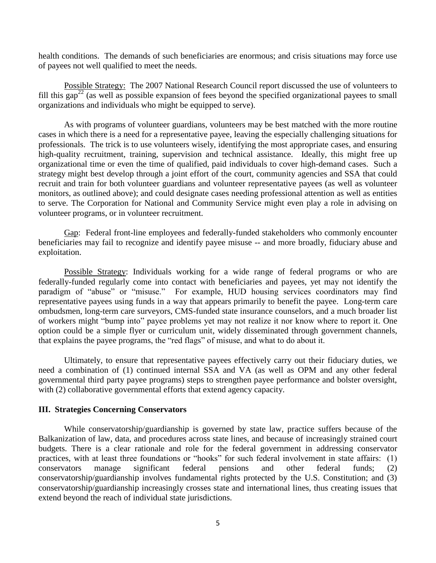health conditions. The demands of such beneficiaries are enormous; and crisis situations may force use of payees not well qualified to meet the needs.

 Possible Strategy: The 2007 National Research Council report discussed the use of volunteers to fill this  $\sin^{22}$  (as well as possible expansion of fees beyond the specified organizational payees to small organizations and individuals who might be equipped to serve).

As with programs of volunteer guardians, volunteers may be best matched with the more routine cases in which there is a need for a representative payee, leaving the especially challenging situations for professionals. The trick is to use volunteers wisely, identifying the most appropriate cases, and ensuring high-quality recruitment, training, supervision and technical assistance. Ideally, this might free up organizational time or even the time of qualified, paid individuals to cover high-demand cases. Such a strategy might best develop through a joint effort of the court, community agencies and SSA that could recruit and train for both volunteer guardians and volunteer representative payees (as well as volunteer monitors, as outlined above); and could designate cases needing professional attention as well as entities to serve. The Corporation for National and Community Service might even play a role in advising on volunteer programs, or in volunteer recruitment.

 Gap: Federal front-line employees and federally-funded stakeholders who commonly encounter beneficiaries may fail to recognize and identify payee misuse -- and more broadly, fiduciary abuse and exploitation.

 Possible Strategy: Individuals working for a wide range of federal programs or who are federally-funded regularly come into contact with beneficiaries and payees, yet may not identify the paradigm of "abuse" or "misuse." For example, HUD housing services coordinators may find representative payees using funds in a way that appears primarily to benefit the payee. Long-term care ombudsmen, long-term care surveyors, CMS-funded state insurance counselors, and a much broader list of workers might "bump into" payee problems yet may not realize it nor know where to report it. One option could be a simple flyer or curriculum unit, widely disseminated through government channels, that explains the payee programs, the "red flags" of misuse, and what to do about it.

 Ultimately, to ensure that representative payees effectively carry out their fiduciary duties, we need a combination of (1) continued internal SSA and VA (as well as OPM and any other federal governmental third party payee programs) steps to strengthen payee performance and bolster oversight, with (2) collaborative governmental efforts that extend agency capacity.

#### **III. Strategies Concerning Conservators**

 While conservatorship/guardianship is governed by state law, practice suffers because of the Balkanization of law, data, and procedures across state lines, and because of increasingly strained court budgets. There is a clear rationale and role for the federal government in addressing conservator practices, with at least three foundations or "hooks" for such federal involvement in state affairs: (1) conservators manage significant federal pensions and other federal funds; (2) conservatorship/guardianship involves fundamental rights protected by the U.S. Constitution; and (3) conservatorship/guardianship increasingly crosses state and international lines, thus creating issues that extend beyond the reach of individual state jurisdictions.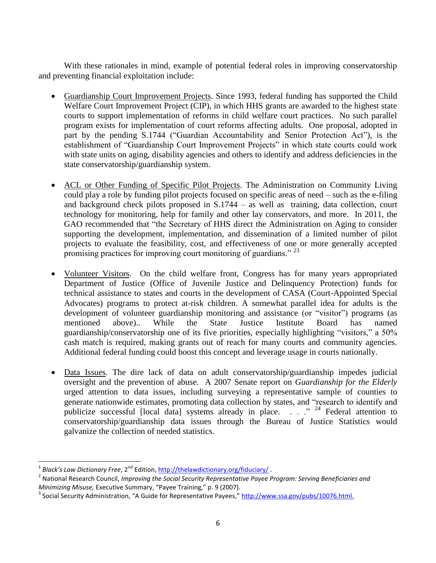With these rationales in mind, example of potential federal roles in improving conservatorship and preventing financial exploitation include:

- Guardianship Court Improvement Projects. Since 1993, federal funding has supported the Child Welfare Court Improvement Project (CIP), in which HHS grants are awarded to the highest state courts to support implementation of reforms in child welfare court practices. No such parallel program exists for implementation of court reforms affecting adults. One proposal, adopted in part by the pending S.1744 ("Guardian Accountability and Senior Protection Act"), is the establishment of "Guardianship Court Improvement Projects" in which state courts could work with state units on aging, disability agencies and others to identify and address deficiencies in the state conservatorship/guardianship system.
- ACL or Other Funding of Specific Pilot Projects. The Administration on Community Living could play a role by funding pilot projects focused on specific areas of need – such as the e-filing and background check pilots proposed in S.1744 – as well as training, data collection, court technology for monitoring, help for family and other lay conservators, and more. In 2011, the GAO recommended that "the Secretary of HHS direct the Administration on Aging to consider supporting the development, implementation, and dissemination of a limited number of pilot projects to evaluate the feasibility, cost, and effectiveness of one or more generally accepted promising practices for improving court monitoring of guardians." <sup>23</sup>
- Volunteer Visitors. On the child welfare front, Congress has for many years appropriated Department of Justice (Office of Juvenile Justice and Delinquency Protection) funds for technical assistance to states and courts in the development of CASA (Court-Appointed Special Advocates) programs to protect at-risk children. A somewhat parallel idea for adults is the development of volunteer guardianship monitoring and assistance (or "visitor") programs (as mentioned above).. While the State Justice Institute Board has named guardianship/conservatorship one of its five priorities, especially highlighting "visitors," a 50% cash match is required, making grants out of reach for many courts and community agencies. Additional federal funding could boost this concept and leverage usage in courts nationally.
- Data Issues. The dire lack of data on adult conservatorship/guardianship impedes judicial oversight and the prevention of abuse. A 2007 Senate report on *Guardianship for the Elderly*  urged attention to data issues, including surveying a representative sample of counties to generate nationwide estimates, promoting data collection by states, and "research to identify and publicize successful [local data] systems already in place.  $\therefore$   $\frac{24}{4}$  Federal attention to conservatorship/guardianship data issues through the Bureau of Justice Statistics would galvanize the collection of needed statistics.

<sup>&</sup>lt;u>.</u><br>I Black's Law Dictionary Free, 2<sup>nd</sup> Edition, <u>http://thelawdictionary.org/fiduciary/</u> .

<sup>2</sup> National Research Council, *Improving the Social Security Representative Payee Program: Serving Beneficiaries and Minimizing Misuse,* Executive Summary, "Payee Training," p. 9 (2007).

<sup>&</sup>lt;sup>3</sup> Social Security Administration, "A Guide for Representative Payees," [http://www.ssa.gov/pubs/10076.html.](http://www.ssa.gov/pubs/10076.html)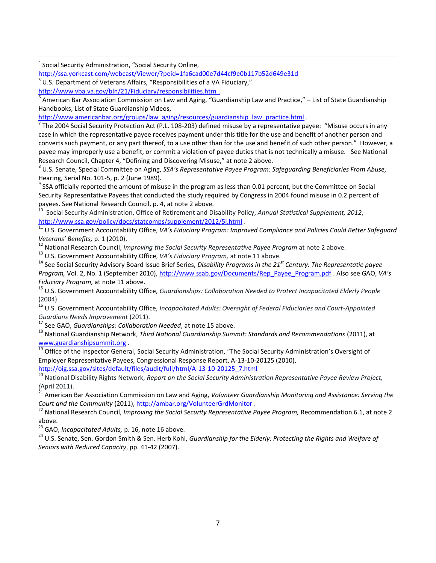<sup>4</sup> Social Security Administration, "Social Security Online,

 $\overline{\phantom{a}}$ 

<http://ssa.yorkcast.com/webcast/Viewer/?peid=1fa6cad00e7d44cf9e0b117b52d649e31d>

5 U.S. Department of Veterans Affairs, "Responsibilities of a VA Fiduciary," http://www.vba.va.gov/bln/21/Fiduciary/responsibilities.htm.

 $^6$  American Bar Association Commission on Law and Aging, "Guardianship Law and Practice," – List of State Guardianship Handbooks, List of State Guardianship Videos,

[http://www.americanbar.org/groups/law\\_aging/resources/guardianship\\_law\\_practice.html .](http://www.americanbar.org/groups/law_aging/resources/guardianship_law_practice.html)

7 The 2004 Social Security Protection Act (P.L. 108-203) defined misuse by a representative payee: "Misuse occurs in any case in which the representative payee receives payment under this title for the use and benefit of another person and converts such payment, or any part thereof, to a use other than for the use and benefit of such other person." However, a payee may improperly use a benefit, or commit a violation of payee duties that is not technically a misuse. See National Research Council, Chapter 4, "Defining and Discovering Misuse," at note 2 above.

8 U.S. Senate, Special Committee on Aging, *SSA's Representative Payee Program: Safeguarding Beneficiaries From Abuse,*  Hearing, Serial No. 101-5, p. 2 (June 1989).

 $^9$  SSA officially reported the amount of misuse in the program as less than 0.01 percent, but the Committee on Social Security Representative Payees that conducted the study required by Congress in 2004 found misuse in 0.2 percent of payees. See National Research Council, p. 4, at note 2 above.

<sup>10</sup> Social Security Administration, Office of Retirement and Disability Policy, Annual Statistical Supplement, 2012, [http://www.ssa.gov/policy/docs/statcomps/supplement/2012/5l.html .](http://www.ssa.gov/policy/docs/statcomps/supplement/2012/5l.html)

<sup>11</sup> U.S. Government Accountability Office, *VA's Fiduciary Program: Improved Compliance and Policies Could Better Safeguard Veterans' Benefits,* p. 1 (2010).

<sup>12</sup> National Research Council, *Improving the Social Security Representative Payee Program* at note 2 above.

<sup>13</sup> U.S. Government Accountability Office, *VA's Fiduciary Program,* at note 11 above.

<sup>14</sup> See Social Security Advisory Board Issue Brief Series, *Disability Programs in the 21st Century: The Representatie payee Program,* Vol. 2, No. 1 (September 2010), [http://www.ssab.gov/Documents/Rep\\_Payee\\_Program.pdf .](http://www.ssab.gov/Documents/Rep_Payee_Program.pdf) Also see GAO, *VA's Fiduciary Program,* at note 11 above.

<sup>15</sup> U.S. Government Accountability Office, *Guardianships: Collaboration Needed to Protect Incapacitated Elderly People*  (2004)

<sup>16</sup> U.S. Government Accountability Office, *Incapacitated Adults: Oversight of Federal Fiduciaries and Court-Appointed Guardians Needs Improvement* (2011).

<sup>17</sup> See GAO, *Guardianships: Collaboration Needed*, at note 15 above.

<sup>18</sup> National Guardianship Network, *Third National Guardianship Summit: Standards and Recommendations (2011)*, at [www.guardianshipsummit.org](http://www.guardianshipsummit.org/) .

<sup>19</sup> Office of the Inspector General, Social Security Administration, "The Social Security Administration's Oversight of Employer Representative Payees, Congressional Response Report, A-13-10-20125 (2010), [http://oig.ssa.gov/sites/default/files/audit/full/html/A-13-10-20125\\_7.html](http://oig.ssa.gov/sites/default/files/audit/full/html/A-13-10-20125_7.html) 

<sup>20</sup> National Disability Rights Network, *Report on the Social Security Administration Representative Payee Review Project, (*April 2011).

<sup>21</sup> American Bar Association Commission on Law and Aging, *Volunteer Guardianship Monitoring and Assistance: Serving the Court and the Community* (2011)[, http://ambar.org/VolunteerGrdMonitor .](http://ambar.org/VolunteerGrdMonitor)

<sup>22</sup> National Research Council, *Improving the Social Security Representative Payee Program*, Recommendation 6.1, at note 2 above.

<sup>23</sup> GAO, *Incapacitated Adults*, p. 16, note 16 above.

<sup>24</sup> U.S. Senate, Sen. Gordon Smith & Sen. Herb Kohl, *Guardianship for the Elderly: Protecting the Rights and Welfare of Seniors with Reduced Capacity*, pp. 41-42 (2007).